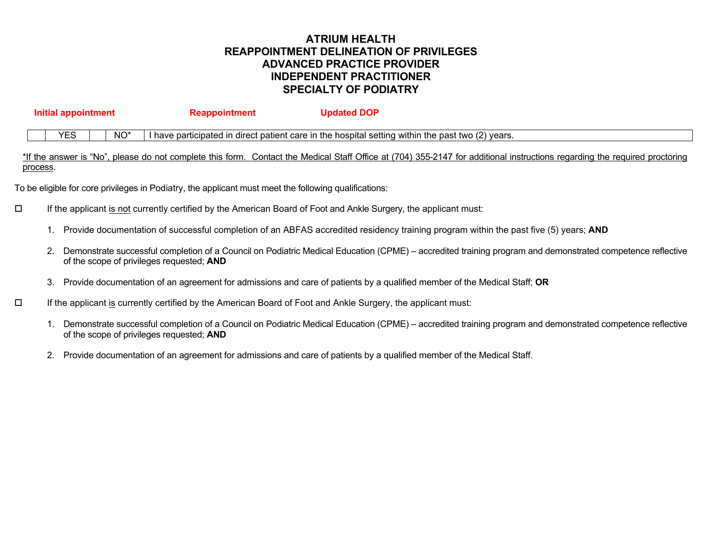# **ATRIUM HEALTH REAPPOINTMENT DELINEATION OF PRIVILEGES ADVANCED PRACTICE PROVIDER INDEPENDENT PRACTITIONER SPECIALTY OF PODIATRY**

| Initial appointment |            |                 | <b>Reappointment</b> | <b>Updated DOP</b>                                                                                |  |
|---------------------|------------|-----------------|----------------------|---------------------------------------------------------------------------------------------------|--|
|                     | <b>YES</b> | NO <sup>*</sup> |                      | I have participated in direct patient care in the hospital setting within the past two (2) years. |  |

\*If the answer is "No", please do not complete this form. Contact the Medical Staff Office at (704) 355-2147 for additional instructions regarding the required proctoring process.

To be eligible for core privileges in Podiatry, the applicant must meet the following qualifications:

- $\square$  If the applicant is not currently certified by the American Board of Foot and Ankle Surgery, the applicant must:
	- 1. Provide documentation of successful completion of an ABFAS accredited residency training program within the past five (5) years; **AND**
	- 2. Demonstrate successful completion of a Council on Podiatric Medical Education (CPME) accredited training program and demonstrated competence reflective of the scope of privileges requested; **AND**
	- 3. Provide documentation of an agreement for admissions and care of patients by a qualified member of the Medical Staff; **OR**
- $\Box$  If the applicant is currently certified by the American Board of Foot and Ankle Surgery, the applicant must:
	- 1. Demonstrate successful completion of a Council on Podiatric Medical Education (CPME) accredited training program and demonstrated competence reflective of the scope of privileges requested; **AND**
	- 2. Provide documentation of an agreement for admissions and care of patients by a qualified member of the Medical Staff.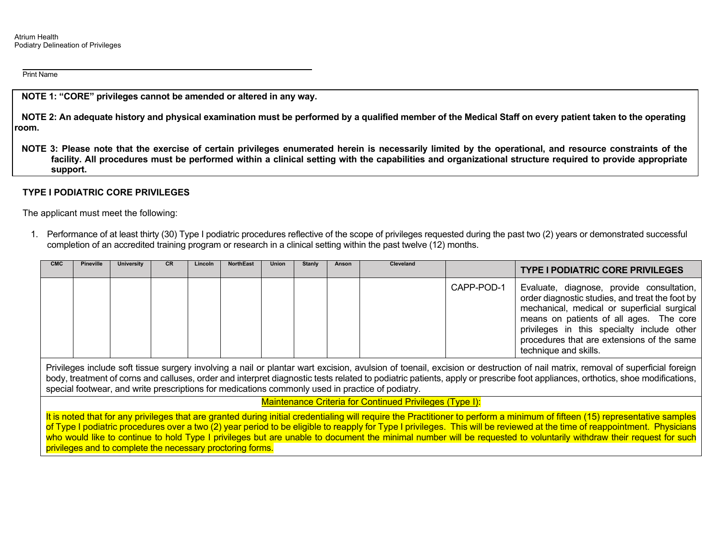**NOTE 1: "CORE" privileges cannot be amended or altered in any way.** 

 **NOTE 2: An adequate history and physical examination must be performed by a qualified member of the Medical Staff on every patient taken to the operating room.** 

 **NOTE 3: Please note that the exercise of certain privileges enumerated herein is necessarily limited by the operational, and resource constraints of the facility. All procedures must be performed within a clinical setting with the capabilities and organizational structure required to provide appropriate support.** 

#### **TYPE I PODIATRIC CORE PRIVILEGES**

The applicant must meet the following:

1. Performance of at least thirty (30) Type I podiatric procedures reflective of the scope of privileges requested during the past two (2) years or demonstrated successful completion of an accredited training program or research in a clinical setting within the past twelve (12) months.

| <b>CMC</b> | <b>Pineville</b> | University | <b>CR</b> | <b>Lincoln</b> | <b>NorthEast</b> | <b>Union</b> | <b>Stanly</b> | Anson | <b>Cleveland</b> |            | <b>TYPE I PODIATRIC CORE PRIVILEGES</b>                                                                                                                                                                                                                                                                     |
|------------|------------------|------------|-----------|----------------|------------------|--------------|---------------|-------|------------------|------------|-------------------------------------------------------------------------------------------------------------------------------------------------------------------------------------------------------------------------------------------------------------------------------------------------------------|
|            |                  |            |           |                |                  |              |               |       |                  | CAPP-POD-1 | Evaluate, diagnose, provide consultation,<br>order diagnostic studies, and treat the foot by<br>mechanical, medical or superficial surgical<br>means on patients of all ages. The core<br>privileges in this specialty include other<br>procedures that are extensions of the same<br>technique and skills. |

Privileges include soft tissue surgery involving a nail or plantar wart excision, avulsion of toenail, excision or destruction of nail matrix, removal of superficial foreign body, treatment of corns and calluses, order and interpret diagnostic tests related to podiatric patients, apply or prescribe foot appliances, orthotics, shoe modifications, special footwear, and write prescriptions for medications commonly used in practice of podiatry.

Maintenance Criteria for Continued Privileges (Type I):

It is noted that for any privileges that are granted during initial credentialing will require the Practitioner to perform a minimum of fifteen (15) representative samples of Type I podiatric procedures over a two (2) year period to be eligible to reapply for Type I privileges. This will be reviewed at the time of reappointment. Physicians who would like to continue to hold Type I privileges but are unable to document the minimal number will be requested to voluntarily withdraw their request for such privileges and to complete the necessary proctoring forms.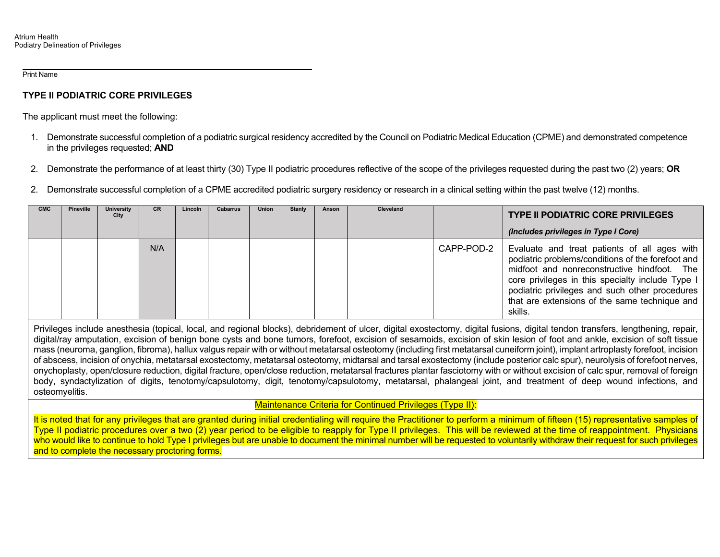# **TYPE II PODIATRIC CORE PRIVILEGES**

The applicant must meet the following:

- 1. Demonstrate successful completion of a podiatric surgical residency accredited by the Council on Podiatric Medical Education (CPME) and demonstrated competence in the privileges requested; **AND**
- 2. Demonstrate the performance of at least thirty (30) Type II podiatric procedures reflective of the scope of the privileges requested during the past two (2) years; **OR**
- 2. Demonstrate successful completion of a CPME accredited podiatric surgery residency or research in a clinical setting within the past twelve (12) months.

| <b>CMC</b> | <b>Pineville</b> | University<br>City | <b>CR</b> | Lincoln | <b>Cabarrus</b> | Union | Stanly | Anson | Cleveland |            | <b>TYPE II PODIATRIC CORE PRIVILEGES</b><br>(Includes privileges in Type I Core)                                                                                                                                                                                                                                   |
|------------|------------------|--------------------|-----------|---------|-----------------|-------|--------|-------|-----------|------------|--------------------------------------------------------------------------------------------------------------------------------------------------------------------------------------------------------------------------------------------------------------------------------------------------------------------|
|            |                  |                    | N/A       |         |                 |       |        |       |           | CAPP-POD-2 | Evaluate and treat patients of all ages with<br>podiatric problems/conditions of the forefoot and<br>midfoot and nonreconstructive hindfoot. The<br>core privileges in this specialty include Type I<br>podiatric privileges and such other procedures<br>that are extensions of the same technique and<br>skills. |

Privileges include anesthesia (topical, local, and regional blocks), debridement of ulcer, digital exostectomy, digital fusions, digital tendon transfers, lengthening, repair, digital/ray amputation, excision of benign bone cysts and bone tumors, forefoot, excision of sesamoids, excision of skin lesion of foot and ankle, excision of soft tissue mass (neuroma, ganglion, fibroma), hallux valgus repair with or without metatarsal osteotomy (including first metatarsal cuneiform joint), implant artroplasty forefoot, incision of abscess, incision of onychia, metatarsal exostectomy, metatarsal osteotomy, midtarsal and tarsal exostectomy (include posterior calc spur), neurolysis of forefoot nerves, onychoplasty, open/closure reduction, digital fracture, open/close reduction, metatarsal fractures plantar fasciotomy with or without excision of calc spur, removal of foreign body, syndactylization of digits, tenotomy/capsulotomy, digit, tenotomy/capsulotomy, metatarsal, phalangeal joint, and treatment of deep wound infections, and osteomyelitis.

Maintenance Criteria for Continued Privileges (Type II):

It is noted that for any privileges that are granted during initial credentialing will require the Practitioner to perform a minimum of fifteen (15) representative samples of Type II podiatric procedures over a two (2) year period to be eligible to reapply for Type II privileges. This will be reviewed at the time of reappointment. Physicians who would like to continue to hold Type I privileges but are unable to document the minimal number will be requested to voluntarily withdraw their request for such privileges and to complete the necessary proctoring forms.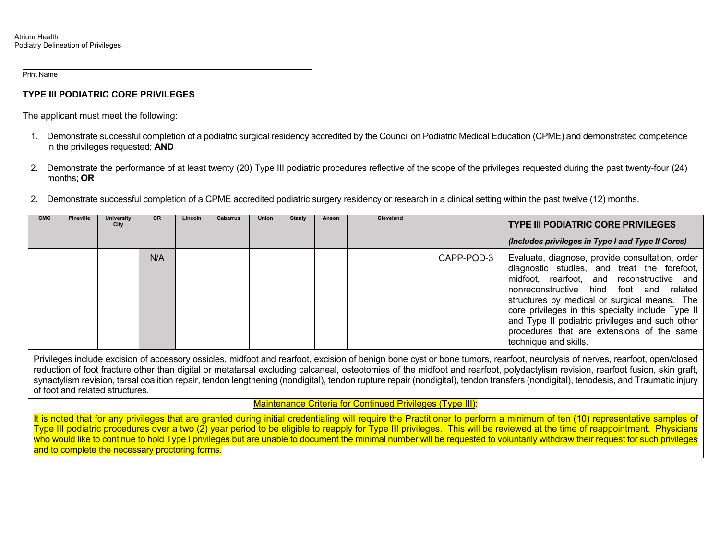### **TYPE III PODIATRIC CORE PRIVILEGES**

The applicant must meet the following:

- 1. Demonstrate successful completion of a podiatric surgical residency accredited by the Council on Podiatric Medical Education (CPME) and demonstrated competence in the privileges requested; **AND**
- 2. Demonstrate the performance of at least twenty (20) Type III podiatric procedures reflective of the scope of the privileges requested during the past twenty-four (24) months; **OR**
- 2. Demonstrate successful completion of a CPME accredited podiatric surgery residency or research in a clinical setting within the past twelve (12) months.

| <b>CMC</b> | <b>Pineville</b> | University<br>City | CR. | Lincoln | <b>Cabarrus</b> | <b>Union</b> | <b>Stanly</b> | Anson | <b>Cleveland</b> |            | <b>TYPE III PODIATRIC CORE PRIVILEGES</b>                                                                                                                                                                                                                                                                                                                                                                             |
|------------|------------------|--------------------|-----|---------|-----------------|--------------|---------------|-------|------------------|------------|-----------------------------------------------------------------------------------------------------------------------------------------------------------------------------------------------------------------------------------------------------------------------------------------------------------------------------------------------------------------------------------------------------------------------|
|            |                  |                    |     |         |                 |              |               |       |                  |            | (Includes privileges in Type I and Type II Cores)                                                                                                                                                                                                                                                                                                                                                                     |
|            |                  |                    | N/A |         |                 |              |               |       |                  | CAPP-POD-3 | Evaluate, diagnose, provide consultation, order<br>diagnostic studies, and treat the forefoot,<br>midfoot, rearfoot, and reconstructive and<br>nonreconstructive hind foot and related<br>structures by medical or surgical means. The<br>core privileges in this specialty include Type II<br>and Type II podiatric privileges and such other<br>procedures that are extensions of the same<br>technique and skills. |

Privileges include excision of accessory ossicles, midfoot and rearfoot, excision of benign bone cyst or bone tumors, rearfoot, neurolysis of nerves, rearfoot, open/closed reduction of foot fracture other than digital or metatarsal excluding calcaneal, osteotomies of the midfoot and rearfoot, polydactylism revision, rearfoot fusion, skin graft, synactylism revision, tarsal coalition repair, tendon lengthening (nondigital), tendon rupture repair (nondigital), tendon transfers (nondigital), tenodesis, and Traumatic injury of foot and related structures.

Maintenance Criteria for Continued Privileges (Type III):

It is noted that for any privileges that are granted during initial credentialing will require the Practitioner to perform a minimum of ten (10) representative samples of Type III podiatric procedures over a two (2) year period to be eligible to reapply for Type III privileges. This will be reviewed at the time of reappointment. Physicians who would like to continue to hold Type I privileges but are unable to document the minimal number will be requested to voluntarily withdraw their request for such privileges and to complete the necessary proctoring forms.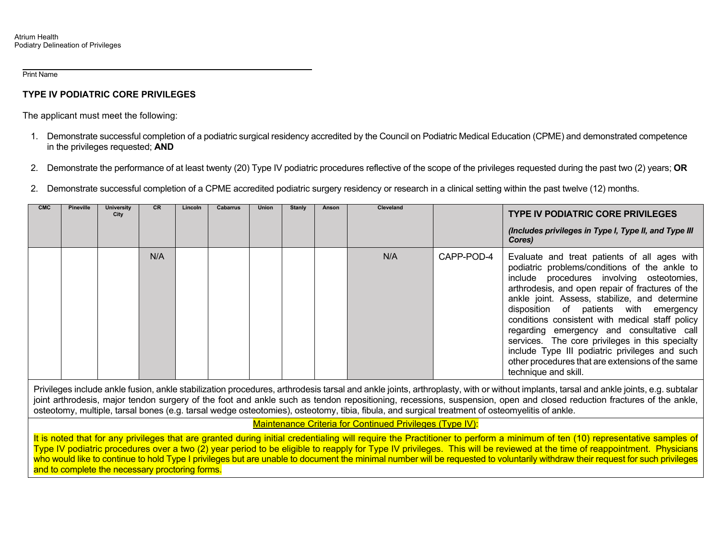## **TYPE IV PODIATRIC CORE PRIVILEGES**

The applicant must meet the following:

- 1. Demonstrate successful completion of a podiatric surgical residency accredited by the Council on Podiatric Medical Education (CPME) and demonstrated competence in the privileges requested; **AND**
- 2. Demonstrate the performance of at least twenty (20) Type IV podiatric procedures reflective of the scope of the privileges requested during the past two (2) years; **OR**
- 2. Demonstrate successful completion of a CPME accredited podiatric surgery residency or research in a clinical setting within the past twelve (12) months.

| <b>CMC</b> | <b>Pineville</b> | <b>University</b><br>City | CR. | Lincoln | <b>Cabarrus</b> | Union | Stanly | Anson | Cleveland |            | <b>TYPE IV PODIATRIC CORE PRIVILEGES</b>                                                                                                                                                                                                                                                                                                                                                                                                                                                                                                                                   |
|------------|------------------|---------------------------|-----|---------|-----------------|-------|--------|-------|-----------|------------|----------------------------------------------------------------------------------------------------------------------------------------------------------------------------------------------------------------------------------------------------------------------------------------------------------------------------------------------------------------------------------------------------------------------------------------------------------------------------------------------------------------------------------------------------------------------------|
|            |                  |                           |     |         |                 |       |        |       |           |            | (Includes privileges in Type I, Type II, and Type III<br>Cores)                                                                                                                                                                                                                                                                                                                                                                                                                                                                                                            |
|            |                  |                           | N/A |         |                 |       |        |       | N/A       | CAPP-POD-4 | Evaluate and treat patients of all ages with<br>podiatric problems/conditions of the ankle to<br>include procedures involving osteotomies,<br>arthrodesis, and open repair of fractures of the<br>ankle joint. Assess, stabilize, and determine<br>disposition of patients with emergency<br>conditions consistent with medical staff policy<br>regarding emergency and consultative call<br>services. The core privileges in this specialty<br>include Type III podiatric privileges and such<br>other procedures that are extensions of the same<br>technique and skill. |

Privileges include ankle fusion, ankle stabilization procedures, arthrodesis tarsal and ankle joints, arthroplasty, with or without implants, tarsal and ankle joints, e.g. subtalar joint arthrodesis, major tendon surgery of the foot and ankle such as tendon repositioning, recessions, suspension, open and closed reduction fractures of the ankle, osteotomy, multiple, tarsal bones (e.g. tarsal wedge osteotomies), osteotomy, tibia, fibula, and surgical treatment of osteomyelitis of ankle.

Maintenance Criteria for Continued Privileges (Type IV):

It is noted that for any privileges that are granted during initial credentialing will require the Practitioner to perform a minimum of ten (10) representative samples of Type IV podiatric procedures over a two (2) year period to be eligible to reapply for Type IV privileges. This will be reviewed at the time of reappointment. Physicians who would like to continue to hold Type I privileges but are unable to document the minimal number will be requested to voluntarily withdraw their request for such privileges and to complete the necessary proctoring forms.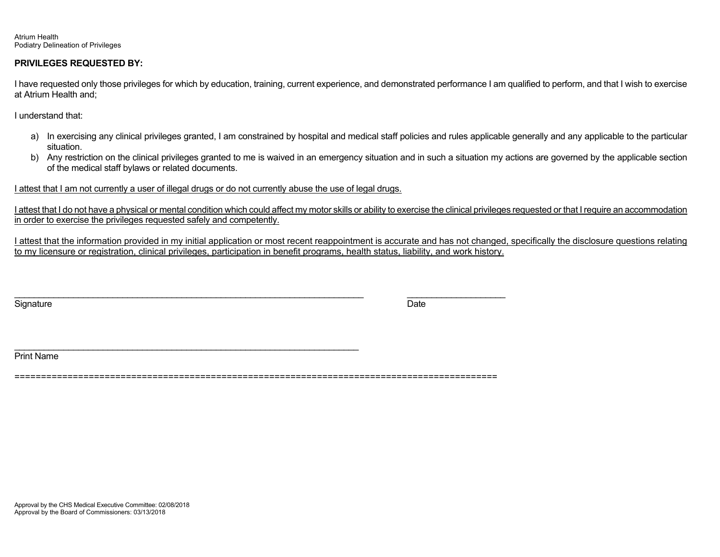Atrium Health Podiatry Delineation of Privileges

#### **PRIVILEGES REQUESTED BY:**

I have requested only those privileges for which by education, training, current experience, and demonstrated performance I am qualified to perform, and that I wish to exercise at Atrium Health and;

I understand that:

- a) In exercising any clinical privileges granted, I am constrained by hospital and medical staff policies and rules applicable generally and any applicable to the particular situation.
- b) Any restriction on the clinical privileges granted to me is waived in an emergency situation and in such a situation my actions are governed by the applicable section of the medical staff bylaws or related documents.

I attest that I am not currently a user of illegal drugs or do not currently abuse the use of legal drugs.

\_\_\_\_\_\_\_\_\_\_\_\_\_\_\_\_\_\_\_\_\_\_\_\_\_\_\_\_\_\_\_\_\_\_\_\_\_\_\_\_\_\_\_\_\_\_\_\_\_\_\_\_\_\_\_\_\_\_\_\_\_\_\_\_\_\_\_\_\_\_

I attest that I do not have a physical or mental condition which could affect my motor skills or ability to exercise the clinical privileges requested or that I require an accommodation in order to exercise the privileges requested safely and competently.

I attest that the information provided in my initial application or most recent reappointment is accurate and has not changed, specifically the disclosure questions relating to my licensure or registration, clinical privileges, participation in benefit programs, health status, liability, and work history.

Signature Date Date of the Signature Date of the Date of the Date of the Date of the Date of the Date of the D

Print Name

===========================================================================================